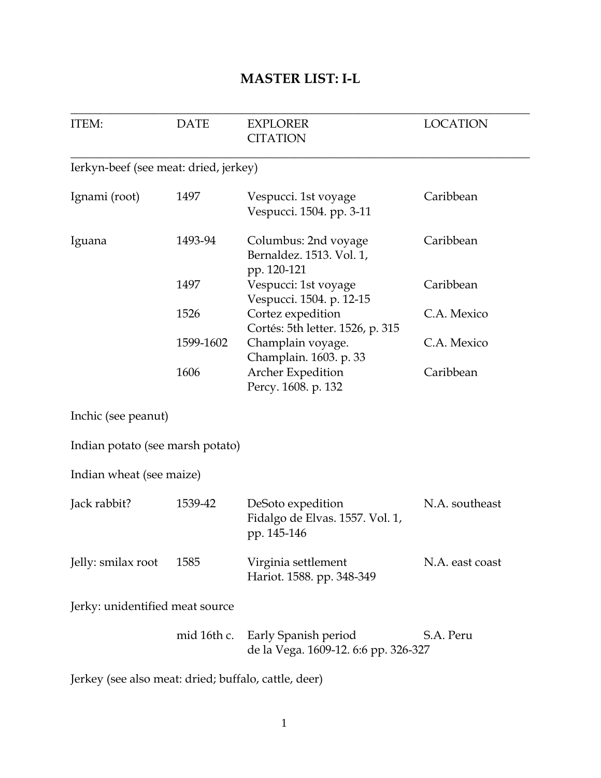## **MASTER LIST: I-L**

| <b>ITEM:</b>                          | <b>DATE</b> | <b>EXPLORER</b><br><b>CITATION</b>                                  | <b>LOCATION</b> |
|---------------------------------------|-------------|---------------------------------------------------------------------|-----------------|
| Ierkyn-beef (see meat: dried, jerkey) |             |                                                                     |                 |
| Ignami (root)                         | 1497        | Vespucci. 1st voyage<br>Vespucci. 1504. pp. 3-11                    | Caribbean       |
| Iguana                                | 1493-94     | Columbus: 2nd voyage<br>Bernaldez. 1513. Vol. 1,<br>pp. 120-121     | Caribbean       |
|                                       | 1497        | Vespucci: 1st voyage<br>Vespucci. 1504. p. 12-15                    | Caribbean       |
|                                       | 1526        | Cortez expedition<br>Cortés: 5th letter. 1526, p. 315               | C.A. Mexico     |
|                                       | 1599-1602   | Champlain voyage.<br>Champlain. 1603. p. 33                         | C.A. Mexico     |
|                                       | 1606        | Archer Expedition<br>Percy. 1608. p. 132                            | Caribbean       |
| Inchic (see peanut)                   |             |                                                                     |                 |
| Indian potato (see marsh potato)      |             |                                                                     |                 |
| Indian wheat (see maize)              |             |                                                                     |                 |
| Jack rabbit?                          | 1539-42     | DeSoto expedition<br>Fidalgo de Elvas. 1557. Vol. 1,<br>pp. 145-146 | N.A. southeast  |
| Jelly: smilax root                    | 1585        | Virginia settlement<br>Hariot. 1588. pp. 348-349                    | N.A. east coast |
| Jerky: unidentified meat source       |             |                                                                     |                 |
|                                       | mid 16th c. | Early Spanish period<br>de la Vega. 1609-12. 6:6 pp. 326-327        | S.A. Peru       |

Jerkey (see also meat: dried; buffalo, cattle, deer)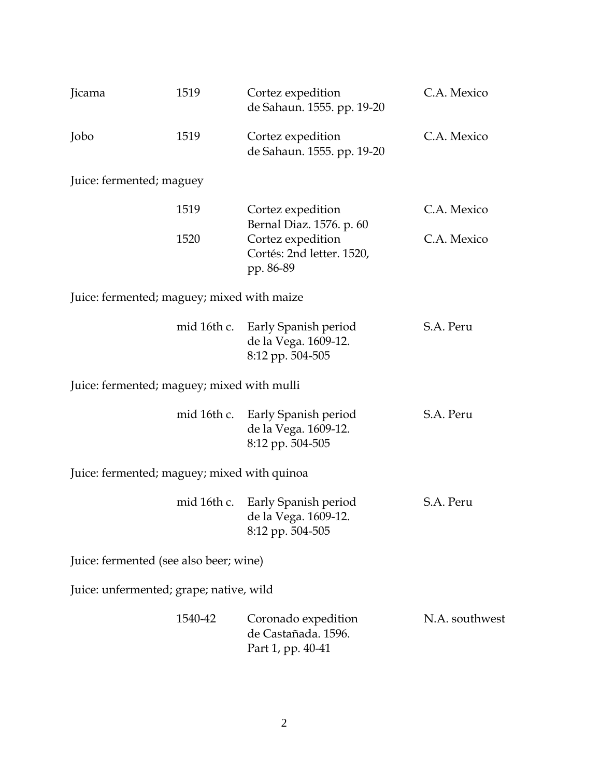| Jicama                                      | 1519        | Cortez expedition<br>de Sahaun. 1555. pp. 19-20                                         | C.A. Mexico    |  |
|---------------------------------------------|-------------|-----------------------------------------------------------------------------------------|----------------|--|
| Jobo                                        | 1519        | Cortez expedition<br>de Sahaun. 1555. pp. 19-20                                         | C.A. Mexico    |  |
| Juice: fermented; maguey                    |             |                                                                                         |                |  |
|                                             | 1519        | Cortez expedition                                                                       | C.A. Mexico    |  |
|                                             | 1520        | Bernal Diaz. 1576. p. 60<br>Cortez expedition<br>Cortés: 2nd letter. 1520,<br>pp. 86-89 | C.A. Mexico    |  |
| Juice: fermented; maguey; mixed with maize  |             |                                                                                         |                |  |
|                                             | mid 16th c. | Early Spanish period<br>de la Vega. 1609-12.<br>8:12 pp. 504-505                        | S.A. Peru      |  |
| Juice: fermented; maguey; mixed with mulli  |             |                                                                                         |                |  |
|                                             | mid 16th c. | Early Spanish period<br>de la Vega. 1609-12.<br>8:12 pp. 504-505                        | S.A. Peru      |  |
| Juice: fermented; maguey; mixed with quinoa |             |                                                                                         |                |  |
|                                             | mid 16th c. | Early Spanish period<br>de la Vega. 1609-12.<br>8:12 pp. 504-505                        | S.A. Peru      |  |
| Juice: fermented (see also beer; wine)      |             |                                                                                         |                |  |
| Juice: unfermented; grape; native, wild     |             |                                                                                         |                |  |
|                                             | 1540-42     | Coronado expedition<br>de Castañada. 1596.<br>Part 1, pp. 40-41                         | N.A. southwest |  |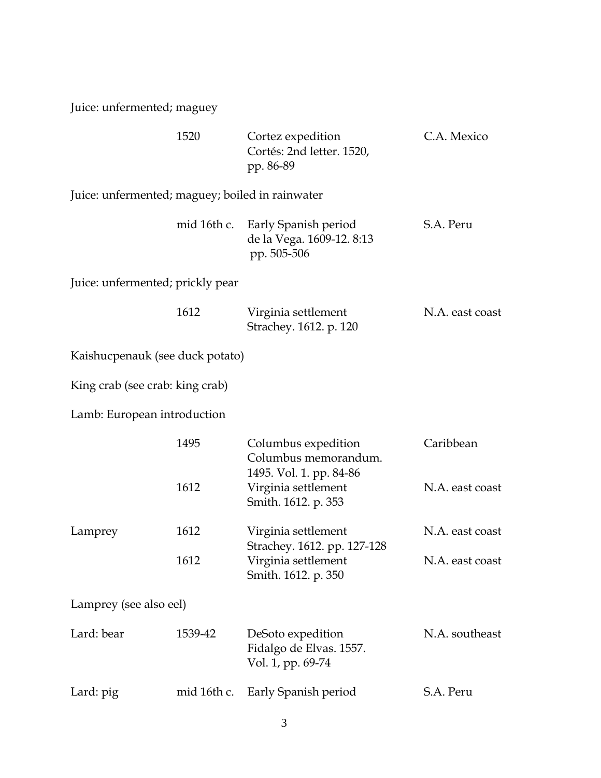Juice: unfermented; maguey

|                                                 | 1520        | Cortez expedition<br>Cortés: 2nd letter. 1520,<br>pp. 86-89               | C.A. Mexico     |
|-------------------------------------------------|-------------|---------------------------------------------------------------------------|-----------------|
| Juice: unfermented; maguey; boiled in rainwater |             |                                                                           |                 |
|                                                 | mid 16th c. | Early Spanish period<br>de la Vega. 1609-12. 8:13<br>pp. 505-506          | S.A. Peru       |
| Juice: unfermented; prickly pear                |             |                                                                           |                 |
|                                                 | 1612        | Virginia settlement<br>Strachey. 1612. p. 120                             | N.A. east coast |
| Kaishucpenauk (see duck potato)                 |             |                                                                           |                 |
| King crab (see crab: king crab)                 |             |                                                                           |                 |
| Lamb: European introduction                     |             |                                                                           |                 |
|                                                 | 1495        | Columbus expedition<br>Columbus memorandum.                               | Caribbean       |
|                                                 | 1612        | 1495. Vol. 1. pp. 84-86<br>Virginia settlement<br>Smith. 1612. p. 353     | N.A. east coast |
| Lamprey                                         | 1612        | Virginia settlement                                                       | N.A. east coast |
|                                                 | 1612        | Strachey. 1612. pp. 127-128<br>Virginia settlement<br>Smith. 1612. p. 350 | N.A. east coast |
| Lamprey (see also eel)                          |             |                                                                           |                 |
| Lard: bear                                      | 1539-42     | DeSoto expedition<br>Fidalgo de Elvas. 1557.<br>Vol. 1, pp. 69-74         | N.A. southeast  |
| Lard: pig                                       | mid 16th c. | Early Spanish period                                                      | S.A. Peru       |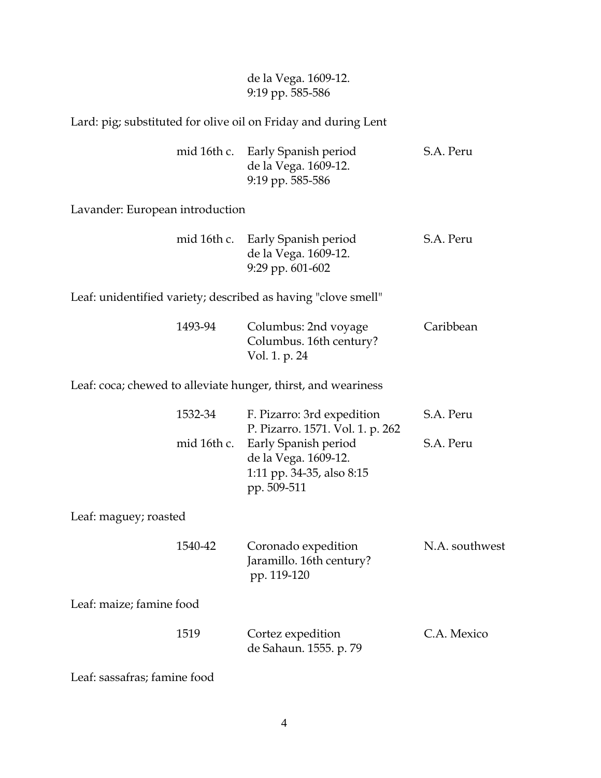## de la Vega. 1609-12. 9:19 pp. 585-586

Lard: pig; substituted for olive oil on Friday and during Lent

|  | mid 16th c. Early Spanish period | S.A. Peru |
|--|----------------------------------|-----------|
|  | de la Vega. 1609-12.             |           |
|  | 9:19 pp. 585-586                 |           |

Lavander: European introduction

|  | mid 16th c. Early Spanish period | S.A. Peru |
|--|----------------------------------|-----------|
|  | de la Vega. 1609-12.             |           |
|  | 9:29 pp. $601-602$               |           |

Leaf: unidentified variety; described as having "clove smell"

| 1493-94 | Columbus: 2nd voyage    | Caribbean |
|---------|-------------------------|-----------|
|         | Columbus. 16th century? |           |
|         | Vol. 1. p. 24           |           |

Leaf: coca; chewed to alleviate hunger, thirst, and weariness

|                          | 1532-34     | F. Pizarro: 3rd expedition<br>P. Pizarro. 1571. Vol. 1. p. 262                           | S.A. Peru      |
|--------------------------|-------------|------------------------------------------------------------------------------------------|----------------|
|                          | mid 16th c. | Early Spanish period<br>de la Vega. 1609-12.<br>1:11 pp. 34-35, also 8:15<br>pp. 509-511 | S.A. Peru      |
| Leaf: maguey; roasted    |             |                                                                                          |                |
|                          | 1540-42     | Coronado expedition<br>Jaramillo. 16th century?<br>pp. 119-120                           | N.A. southwest |
| Leaf: maize; famine food |             |                                                                                          |                |
|                          | 1519        | Cortez expedition<br>de Sahaun. 1555. p. 79                                              | C.A. Mexico    |

Leaf: sassafras; famine food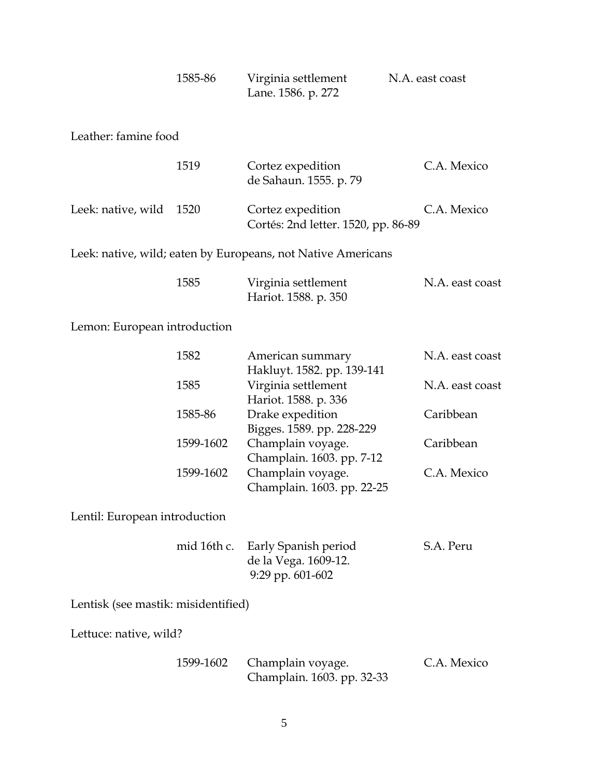| 1585-86 | Virginia settlement | N.A. east coast |
|---------|---------------------|-----------------|
|         | Lane. 1586. p. 272  |                 |

Leather: famine food

|                         | 1519 | Cortez expedition<br>de Sahaun. 1555. p. 79              | C.A. Mexico |
|-------------------------|------|----------------------------------------------------------|-------------|
| Leek: native, wild 1520 |      | Cortez expedition<br>Cortés: 2nd letter. 1520, pp. 86-89 | C.A. Mexico |

Leek: native, wild; eaten by Europeans, not Native Americans

| 1585 | Virginia settlement | N.A. east coast      |  |
|------|---------------------|----------------------|--|
|      |                     | Hariot. 1588. p. 350 |  |

Lemon: European introduction

| 1582      | American summary           | N.A. east coast |
|-----------|----------------------------|-----------------|
|           | Hakluyt. 1582. pp. 139-141 |                 |
| 1585      | Virginia settlement        | N.A. east coast |
|           | Hariot. 1588. p. 336       |                 |
| 1585-86   | Drake expedition           | Caribbean       |
|           | Bigges. 1589. pp. 228-229  |                 |
| 1599-1602 | Champlain voyage.          | Caribbean       |
|           | Champlain. 1603. pp. 7-12  |                 |
| 1599-1602 | Champlain voyage.          | C.A. Mexico     |
|           | Champlain. 1603. pp. 22-25 |                 |
|           |                            |                 |

Lentil: European introduction

|  | mid 16th c. Early Spanish period | S.A. Peru |
|--|----------------------------------|-----------|
|  | de la Vega. 1609-12.             |           |
|  | 9:29 pp. $601-602$               |           |

Lentisk (see mastik: misidentified)

Lettuce: native, wild?

|  | 1599-1602 Champlain voyage. | C.A. Mexico |
|--|-----------------------------|-------------|
|  | Champlain. 1603. pp. 32-33  |             |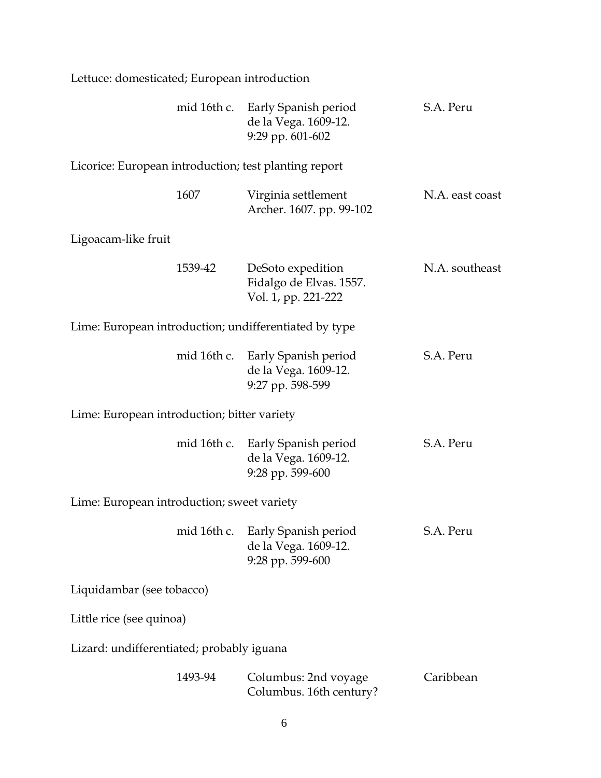| Lettuce: domesticated; European introduction          |             |                                                                              |                 |
|-------------------------------------------------------|-------------|------------------------------------------------------------------------------|-----------------|
|                                                       |             | mid 16th c. Early Spanish period<br>de la Vega. 1609-12.<br>9:29 pp. 601-602 | S.A. Peru       |
| Licorice: European introduction; test planting report |             |                                                                              |                 |
|                                                       | 1607        | Virginia settlement<br>Archer. 1607. pp. 99-102                              | N.A. east coast |
| Ligoacam-like fruit                                   |             |                                                                              |                 |
|                                                       | 1539-42     | DeSoto expedition<br>Fidalgo de Elvas. 1557.<br>Vol. 1, pp. 221-222          | N.A. southeast  |
|                                                       |             | Lime: European introduction; undifferentiated by type                        |                 |
|                                                       | mid 16th c. | Early Spanish period<br>de la Vega. 1609-12.<br>9:27 pp. 598-599             | S.A. Peru       |
| Lime: European introduction; bitter variety           |             |                                                                              |                 |
|                                                       |             | mid 16th c. Early Spanish period<br>de la Vega. 1609-12.<br>9:28 pp. 599-600 | S.A. Peru       |
| Lime: European introduction; sweet variety            |             |                                                                              |                 |
|                                                       |             | mid 16th c. Early Spanish period<br>de la Vega. 1609-12.<br>9:28 pp. 599-600 | S.A. Peru       |
| Liquidambar (see tobacco)                             |             |                                                                              |                 |
| Little rice (see quinoa)                              |             |                                                                              |                 |
| Lizard: undifferentiated; probably iguana             |             |                                                                              |                 |
|                                                       | 1493-94     | Columbus: 2nd voyage<br>Columbus. 16th century?                              | Caribbean       |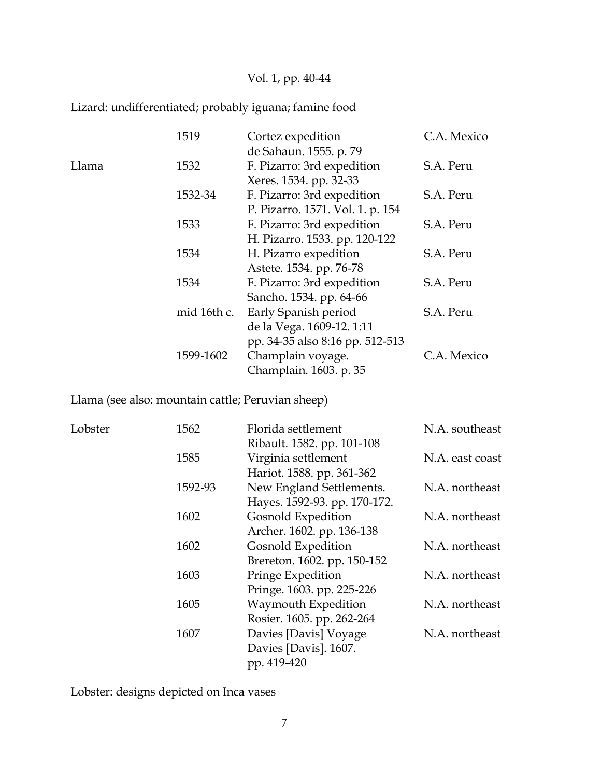## Vol. 1, pp. 40-44

## Lizard: undifferentiated; probably iguana; famine food

|       | 1519        | Cortez expedition                | C.A. Mexico |
|-------|-------------|----------------------------------|-------------|
|       |             | de Sahaun. 1555. p. 79           |             |
| Llama | 1532        | F. Pizarro: 3rd expedition       | S.A. Peru   |
|       |             | Xeres. 1534. pp. 32-33           |             |
|       | 1532-34     | F. Pizarro: 3rd expedition       | S.A. Peru   |
|       |             | P. Pizarro. 1571. Vol. 1. p. 154 |             |
|       | 1533        | F. Pizarro: 3rd expedition       | S.A. Peru   |
|       |             | H. Pizarro. 1533. pp. 120-122    |             |
|       | 1534        | H. Pizarro expedition            | S.A. Peru   |
|       |             | Astete. 1534. pp. 76-78          |             |
|       | 1534        | F. Pizarro: 3rd expedition       | S.A. Peru   |
|       |             | Sancho. 1534. pp. 64-66          |             |
|       | mid 16th c. | Early Spanish period             | S.A. Peru   |
|       |             | de la Vega. 1609-12. 1:11        |             |
|       |             | pp. 34-35 also 8:16 pp. 512-513  |             |
|       | 1599-1602   | Champlain voyage.                | C.A. Mexico |
|       |             | Champlain. 1603. p. 35           |             |

Llama (see also: mountain cattle; Peruvian sheep)

| Lobster | 1562    | Florida settlement           | N.A. southeast  |
|---------|---------|------------------------------|-----------------|
|         |         | Ribault. 1582. pp. 101-108   |                 |
|         | 1585    | Virginia settlement          | N.A. east coast |
|         |         | Hariot. 1588. pp. 361-362    |                 |
|         | 1592-93 | New England Settlements.     | N.A. northeast  |
|         |         | Hayes. 1592-93. pp. 170-172. |                 |
|         | 1602    | Gosnold Expedition           | N.A. northeast  |
|         |         | Archer. 1602. pp. 136-138    |                 |
|         | 1602    | Gosnold Expedition           | N.A. northeast  |
|         |         | Brereton. 1602. pp. 150-152  |                 |
|         | 1603    | Pringe Expedition            | N.A. northeast  |
|         |         | Pringe. 1603. pp. 225-226    |                 |
|         | 1605    | Waymouth Expedition          | N.A. northeast  |
|         |         | Rosier. 1605. pp. 262-264    |                 |
|         | 1607    | Davies [Davis] Voyage        | N.A. northeast  |
|         |         | Davies [Davis]. 1607.        |                 |
|         |         | pp. 419-420                  |                 |

Lobster: designs depicted on Inca vases